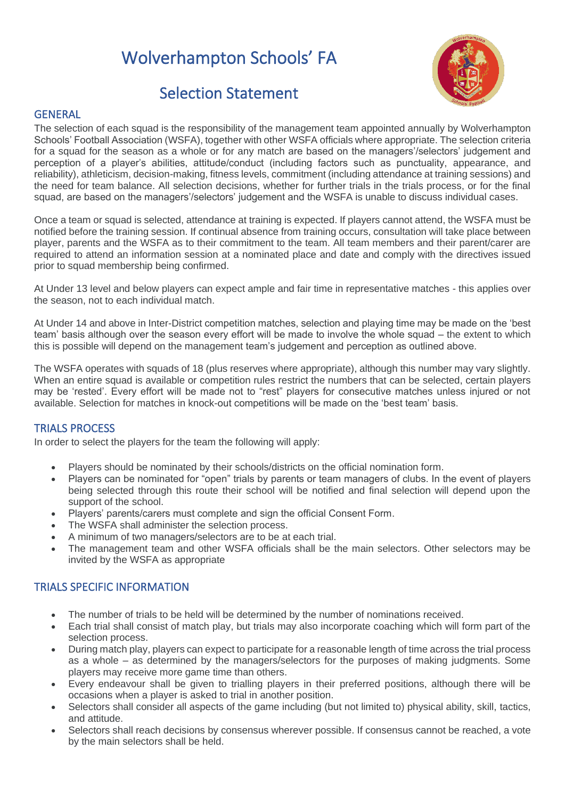# Wolverhampton Schools' FA



## Selection Statement

#### **GENERAL**

The selection of each squad is the responsibility of the management team appointed annually by Wolverhampton Schools' Football Association (WSFA), together with other WSFA officials where appropriate. The selection criteria for a squad for the season as a whole or for any match are based on the managers'/selectors' judgement and perception of a player's abilities, attitude/conduct (including factors such as punctuality, appearance, and reliability), athleticism, decision-making, fitness levels, commitment (including attendance at training sessions) and the need for team balance. All selection decisions, whether for further trials in the trials process, or for the final squad, are based on the managers'/selectors' judgement and the WSFA is unable to discuss individual cases.

Once a team or squad is selected, attendance at training is expected. If players cannot attend, the WSFA must be notified before the training session. If continual absence from training occurs, consultation will take place between player, parents and the WSFA as to their commitment to the team. All team members and their parent/carer are required to attend an information session at a nominated place and date and comply with the directives issued prior to squad membership being confirmed.

At Under 13 level and below players can expect ample and fair time in representative matches - this applies over the season, not to each individual match.

At Under 14 and above in Inter-District competition matches, selection and playing time may be made on the 'best team' basis although over the season every effort will be made to involve the whole squad – the extent to which this is possible will depend on the management team's judgement and perception as outlined above.

The WSFA operates with squads of 18 (plus reserves where appropriate), although this number may vary slightly. When an entire squad is available or competition rules restrict the numbers that can be selected, certain players may be 'rested'. Every effort will be made not to "rest" players for consecutive matches unless injured or not available. Selection for matches in knock-out competitions will be made on the 'best team' basis.

### TRIALS PROCESS

In order to select the players for the team the following will apply:

- Players should be nominated by their schools/districts on the official nomination form.
- Players can be nominated for "open" trials by parents or team managers of clubs. In the event of players being selected through this route their school will be notified and final selection will depend upon the support of the school.
- Players' parents/carers must complete and sign the official Consent Form.
- The WSFA shall administer the selection process.
- A minimum of two managers/selectors are to be at each trial.
- The management team and other WSFA officials shall be the main selectors. Other selectors may be invited by the WSFA as appropriate

#### TRIALS SPECIFIC INFORMATION

- The number of trials to be held will be determined by the number of nominations received.
- Each trial shall consist of match play, but trials may also incorporate coaching which will form part of the selection process.
- During match play, players can expect to participate for a reasonable length of time across the trial process as a whole – as determined by the managers/selectors for the purposes of making judgments. Some players may receive more game time than others.
- Every endeavour shall be given to trialling players in their preferred positions, although there will be occasions when a player is asked to trial in another position.
- Selectors shall consider all aspects of the game including (but not limited to) physical ability, skill, tactics, and attitude.
- Selectors shall reach decisions by consensus wherever possible. If consensus cannot be reached, a vote by the main selectors shall be held.